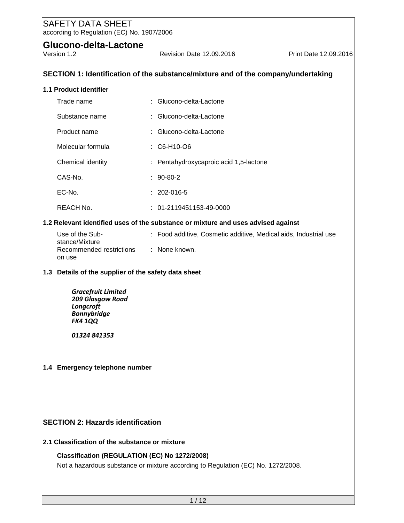**Glucono-delta-Lactone**<br>Version 1.2

| SECTION 1: Identification of the substance/mixture and of the company/undertaking |                                                                                                                                   |  |                                                                                   |  |  |
|-----------------------------------------------------------------------------------|-----------------------------------------------------------------------------------------------------------------------------------|--|-----------------------------------------------------------------------------------|--|--|
|                                                                                   | 1.1 Product identifier                                                                                                            |  |                                                                                   |  |  |
|                                                                                   | Trade name                                                                                                                        |  | : Glucono-delta-Lactone                                                           |  |  |
|                                                                                   | Substance name                                                                                                                    |  | : Glucono-delta-Lactone                                                           |  |  |
|                                                                                   | Product name                                                                                                                      |  | : Glucono-delta-Lactone                                                           |  |  |
|                                                                                   | Molecular formula                                                                                                                 |  | : C6-H10-O6                                                                       |  |  |
|                                                                                   | Chemical identity                                                                                                                 |  | : Pentahydroxycaproic acid 1,5-lactone                                            |  |  |
|                                                                                   | CAS-No.                                                                                                                           |  | $: 90-80-2$                                                                       |  |  |
|                                                                                   | EC-No.                                                                                                                            |  | $: 202 - 016 - 5$                                                                 |  |  |
|                                                                                   | REACH No.                                                                                                                         |  | $: 01-2119451153-49-0000$                                                         |  |  |
|                                                                                   |                                                                                                                                   |  | 1.2 Relevant identified uses of the substance or mixture and uses advised against |  |  |
|                                                                                   | Use of the Sub-<br>stance/Mixture                                                                                                 |  | : Food additive, Cosmetic additive, Medical aids, Industrial use                  |  |  |
|                                                                                   | Recommended restrictions<br>on use                                                                                                |  | : None known.                                                                     |  |  |
|                                                                                   | 1.3 Details of the supplier of the safety data sheet                                                                              |  |                                                                                   |  |  |
|                                                                                   | <b>Gracefruit Limited</b><br>209 Glasgow Road<br>Longcroft<br><b>Bonnybridge</b><br><b>FK4 1QQ</b><br>01324 841353                |  |                                                                                   |  |  |
|                                                                                   | 1.4 Emergency telephone number                                                                                                    |  |                                                                                   |  |  |
| <b>SECTION 2: Hazards identification</b>                                          |                                                                                                                                   |  |                                                                                   |  |  |
|                                                                                   | 2.1 Classification of the substance or mixture                                                                                    |  |                                                                                   |  |  |
|                                                                                   | Classification (REGULATION (EC) No 1272/2008)<br>Not a hazardous substance or mixture according to Regulation (EC) No. 1272/2008. |  |                                                                                   |  |  |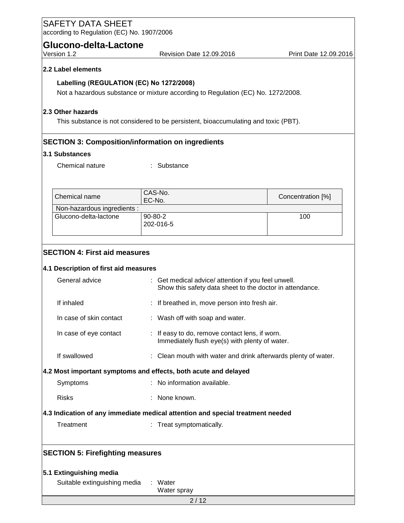| <b>SAFETY DATA SHEET</b><br>according to Regulation (EC) No. 1907/2006         |  |                                                                                                                 |                       |  |
|--------------------------------------------------------------------------------|--|-----------------------------------------------------------------------------------------------------------------|-----------------------|--|
| Glucono-delta-Lactone                                                          |  |                                                                                                                 |                       |  |
| Version 1.2                                                                    |  | Revision Date 12.09.2016                                                                                        | Print Date 12.09.2016 |  |
| 2.2 Label elements                                                             |  |                                                                                                                 |                       |  |
|                                                                                |  | Labelling (REGULATION (EC) No 1272/2008)                                                                        |                       |  |
|                                                                                |  | Not a hazardous substance or mixture according to Regulation (EC) No. 1272/2008.                                |                       |  |
| 2.3 Other hazards                                                              |  |                                                                                                                 |                       |  |
|                                                                                |  | This substance is not considered to be persistent, bioaccumulating and toxic (PBT).                             |                       |  |
|                                                                                |  |                                                                                                                 |                       |  |
| 3.1 Substances                                                                 |  | <b>SECTION 3: Composition/information on ingredients</b>                                                        |                       |  |
| Chemical nature                                                                |  | : Substance                                                                                                     |                       |  |
|                                                                                |  |                                                                                                                 |                       |  |
| Chemical name                                                                  |  | CAS-No.                                                                                                         |                       |  |
| Non-hazardous ingredients :                                                    |  | EC-No.                                                                                                          | Concentration [%]     |  |
| Glucono-delta-lactone                                                          |  | 90-80-2                                                                                                         | 100                   |  |
|                                                                                |  | 202-016-5                                                                                                       |                       |  |
|                                                                                |  |                                                                                                                 |                       |  |
| <b>SECTION 4: First aid measures</b>                                           |  |                                                                                                                 |                       |  |
| 4.1 Description of first aid measures                                          |  |                                                                                                                 |                       |  |
| General advice                                                                 |  | : Get medical advice/ attention if you feel unwell.<br>Show this safety data sheet to the doctor in attendance. |                       |  |
| If inhaled                                                                     |  | : If breathed in, move person into fresh air.                                                                   |                       |  |
| In case of skin contact                                                        |  | : Wash off with soap and water.                                                                                 |                       |  |
| In case of eye contact                                                         |  | : If easy to do, remove contact lens, if worn.                                                                  |                       |  |
|                                                                                |  | Immediately flush eye(s) with plenty of water.                                                                  |                       |  |
| If swallowed                                                                   |  | : Clean mouth with water and drink afterwards plenty of water.                                                  |                       |  |
|                                                                                |  | 4.2 Most important symptoms and effects, both acute and delayed                                                 |                       |  |
| Symptoms                                                                       |  | : No information available.                                                                                     |                       |  |
| <b>Risks</b>                                                                   |  | : None known.                                                                                                   |                       |  |
| 4.3 Indication of any immediate medical attention and special treatment needed |  |                                                                                                                 |                       |  |
| Treatment                                                                      |  | : Treat symptomatically.                                                                                        |                       |  |
| <b>SECTION 5: Firefighting measures</b>                                        |  |                                                                                                                 |                       |  |
| 5.1 Extinguishing media                                                        |  |                                                                                                                 |                       |  |
| Suitable extinguishing media                                                   |  | : Water                                                                                                         |                       |  |
|                                                                                |  | Water spray                                                                                                     |                       |  |
|                                                                                |  | 2/12                                                                                                            |                       |  |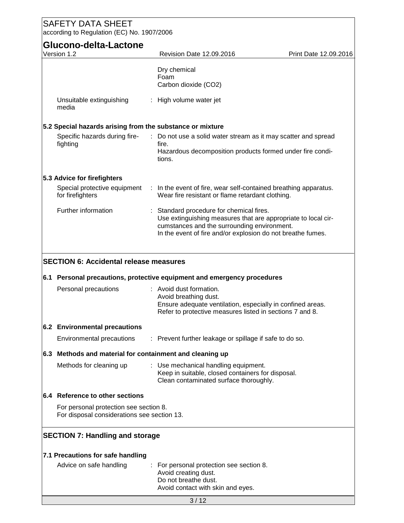# SAFETY DATA SHEET according to Regulation (EC) No. 1907/2006 **Glucono-delta-Lactone** Version 1.2 Revision Date 12.09.2016 Print Date 12.09.2016 Dry chemical Foam Carbon dioxide (CO2) Unsuitable extinguishing media : High volume water jet **5.2 Special hazards arising from the substance or mixture** Specific hazards during firefighting : Do not use a solid water stream as it may scatter and spread fire. Hazardous decomposition products formed under fire conditions. **5.3 Advice for firefighters** Special protective equipment : In the event of fire, wear self-contained breathing apparatus. for firefighters Wear fire resistant or flame retardant clothing. Further information : Standard procedure for chemical fires. Use extinguishing measures that are appropriate to local circumstances and the surrounding environment. In the event of fire and/or explosion do not breathe fumes. **SECTION 6: Accidental release measures 6.1 Personal precautions, protective equipment and emergency procedures** Personal precautions : Avoid dust formation. Avoid breathing dust. Ensure adequate ventilation, especially in confined areas. Refer to protective measures listed in sections 7 and 8. **6.2 Environmental precautions** Environmental precautions : Prevent further leakage or spillage if safe to do so. **6.3 Methods and material for containment and cleaning up** Methods for cleaning up : Use mechanical handling equipment. Keep in suitable, closed containers for disposal. Clean contaminated surface thoroughly. **6.4 Reference to other sections** For personal protection see section 8. For disposal considerations see section 13. **SECTION 7: Handling and storage 7.1 Precautions for safe handling** Advice on safe handling : For personal protection see section 8. Avoid creating dust. Do not breathe dust. Avoid contact with skin and eyes.

 $3/12$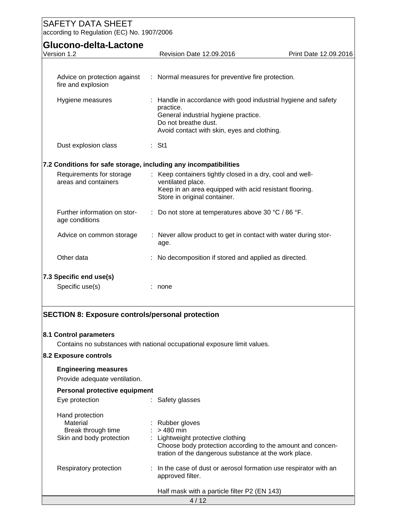| <b>SAFETY DATA SHEET</b>                                                                                                                                                                                                     |                                                                                                                                                                                          |                       |
|------------------------------------------------------------------------------------------------------------------------------------------------------------------------------------------------------------------------------|------------------------------------------------------------------------------------------------------------------------------------------------------------------------------------------|-----------------------|
| according to Regulation (EC) No. 1907/2006                                                                                                                                                                                   |                                                                                                                                                                                          |                       |
| Glucono-delta-Lactone                                                                                                                                                                                                        |                                                                                                                                                                                          |                       |
| Version 1.2                                                                                                                                                                                                                  | Revision Date 12.09.2016                                                                                                                                                                 | Print Date 12.09.2016 |
|                                                                                                                                                                                                                              |                                                                                                                                                                                          |                       |
| : Normal measures for preventive fire protection.<br>Advice on protection against<br>fire and explosion                                                                                                                      |                                                                                                                                                                                          |                       |
| Hygiene measures                                                                                                                                                                                                             | Handle in accordance with good industrial hygiene and safety<br>practice.<br>General industrial hygiene practice.<br>Do not breathe dust.<br>Avoid contact with skin, eyes and clothing. |                       |
| Dust explosion class                                                                                                                                                                                                         | $:$ St1                                                                                                                                                                                  |                       |
| 7.2 Conditions for safe storage, including any incompatibilities                                                                                                                                                             |                                                                                                                                                                                          |                       |
| : Keep containers tightly closed in a dry, cool and well-<br>Requirements for storage<br>areas and containers<br>ventilated place.<br>Keep in an area equipped with acid resistant flooring.<br>Store in original container. |                                                                                                                                                                                          |                       |
| Further information on stor-<br>age conditions                                                                                                                                                                               | Do not store at temperatures above 30 °C / 86 °F.                                                                                                                                        |                       |
| Advice on common storage                                                                                                                                                                                                     | : Never allow product to get in contact with water during stor-<br>age.                                                                                                                  |                       |
| Other data<br>No decomposition if stored and applied as directed.                                                                                                                                                            |                                                                                                                                                                                          |                       |
| 7.3 Specific end use(s)                                                                                                                                                                                                      |                                                                                                                                                                                          |                       |
| Specific use(s)                                                                                                                                                                                                              | : none                                                                                                                                                                                   |                       |
| <b>SECTION 8: Exposure controls/personal protection</b><br>8.1 Control parameters<br>8.2 Exposure controls                                                                                                                   | Contains no substances with national occupational exposure limit values.                                                                                                                 |                       |
|                                                                                                                                                                                                                              |                                                                                                                                                                                          |                       |
| <b>Engineering measures</b><br>Provide adequate ventilation.                                                                                                                                                                 |                                                                                                                                                                                          |                       |
| Personal protective equipment                                                                                                                                                                                                |                                                                                                                                                                                          |                       |
| Eye protection                                                                                                                                                                                                               | : Safety glasses                                                                                                                                                                         |                       |
| Hand protection<br>Material<br>Break through time<br>Skin and body protection                                                                                                                                                | Rubber gloves<br>$>480$ min<br>Lightweight protective clothing<br>Choose body protection according to the amount and concen-<br>tration of the dangerous substance at the work place.    |                       |
| Respiratory protection                                                                                                                                                                                                       | In the case of dust or aerosol formation use respirator with an<br>approved filter.                                                                                                      |                       |
|                                                                                                                                                                                                                              | Half mask with a particle filter P2 (EN 143)                                                                                                                                             |                       |
|                                                                                                                                                                                                                              | 4/12                                                                                                                                                                                     |                       |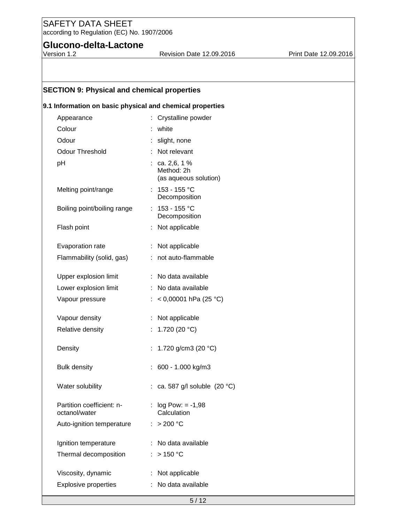# **Glucono-delta-Lactone**<br>Version 1.2

Revision Date 12.09.2016 Print Date 12.09.2016

# **SECTION 9: Physical and chemical properties**

#### **9.1 Information on basic physical and chemical properties**

| Appearance                                 | : Crystalline powder                                  |
|--------------------------------------------|-------------------------------------------------------|
| Colour                                     | white                                                 |
| Odour                                      | : slight, none                                        |
| <b>Odour Threshold</b>                     | Not relevant                                          |
| pH                                         | : ca. 2, 6, 1%<br>Method: 2h<br>(as aqueous solution) |
| Melting point/range                        | : $153 - 155$ °C<br>Decomposition                     |
| Boiling point/boiling range                | : $153 - 155$ °C<br>Decomposition                     |
| Flash point                                | Not applicable<br>t.                                  |
| Evaporation rate                           | : Not applicable                                      |
| Flammability (solid, gas)                  | : not auto-flammable                                  |
| Upper explosion limit                      | : No data available                                   |
| Lower explosion limit                      | : No data available                                   |
| Vapour pressure                            | : < 0,00001 hPa (25 °C)                               |
| Vapour density                             | Not applicable                                        |
| Relative density                           | : 1.720 (20 °C)                                       |
| Density                                    | 1.720 g/cm3 (20 °C)<br>t.                             |
| <b>Bulk density</b>                        | $: 600 - 1.000$ kg/m3                                 |
| Water solubility                           | : ca. 587 g/l soluble $(20 °C)$                       |
| Partition coefficient: n-<br>octanol/water | $log Pow: = -1,98$<br>Calculation                     |
| Auto-ignition temperature                  | > 200 °C                                              |
| Ignition temperature                       | No data available                                     |
| Thermal decomposition                      | >150 °C                                               |
| Viscosity, dynamic                         | Not applicable                                        |
| <b>Explosive properties</b>                | No data available                                     |
|                                            | 5/12                                                  |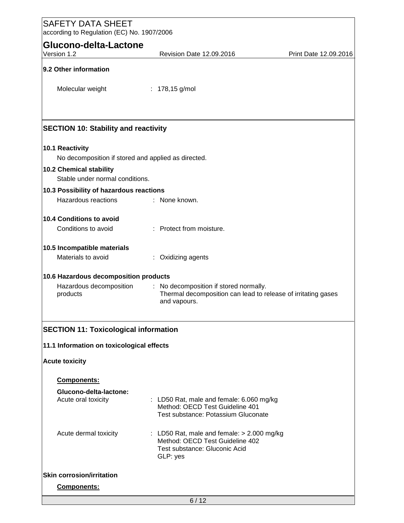| <b>SAFETY DATA SHEET</b><br>according to Regulation (EC) No. 1907/2006                                             |                                                                                                                              |                       |
|--------------------------------------------------------------------------------------------------------------------|------------------------------------------------------------------------------------------------------------------------------|-----------------------|
| Glucono-delta-Lactone                                                                                              |                                                                                                                              |                       |
| Version 1.2                                                                                                        | Revision Date 12.09.2016                                                                                                     | Print Date 12.09.2016 |
| 9.2 Other information                                                                                              |                                                                                                                              |                       |
| Molecular weight                                                                                                   | : $178,15$ g/mol                                                                                                             |                       |
|                                                                                                                    |                                                                                                                              |                       |
| <b>SECTION 10: Stability and reactivity</b>                                                                        |                                                                                                                              |                       |
| 10.1 Reactivity<br>No decomposition if stored and applied as directed.                                             |                                                                                                                              |                       |
| 10.2 Chemical stability<br>Stable under normal conditions.                                                         |                                                                                                                              |                       |
| 10.3 Possibility of hazardous reactions                                                                            |                                                                                                                              |                       |
| Hazardous reactions                                                                                                | : None known.                                                                                                                |                       |
| 10.4 Conditions to avoid                                                                                           |                                                                                                                              |                       |
| Conditions to avoid                                                                                                | : Protect from moisture.                                                                                                     |                       |
| 10.5 Incompatible materials                                                                                        |                                                                                                                              |                       |
| Materials to avoid                                                                                                 | : Oxidizing agents                                                                                                           |                       |
| 10.6 Hazardous decomposition products                                                                              |                                                                                                                              |                       |
| Hazardous decomposition<br>products                                                                                | : No decomposition if stored normally.<br>Thermal decomposition can lead to release of irritating gases<br>and vapours.      |                       |
| <b>SECTION 11: Toxicological information</b><br>11.1 Information on toxicological effects<br><b>Acute toxicity</b> |                                                                                                                              |                       |
| Components:                                                                                                        |                                                                                                                              |                       |
| Glucono-delta-lactone:<br>Acute oral toxicity                                                                      | : LD50 Rat, male and female: 6.060 mg/kg<br>Method: OECD Test Guideline 401<br>Test substance: Potassium Gluconate           |                       |
| Acute dermal toxicity                                                                                              | : LD50 Rat, male and female: $> 2.000$ mg/kg<br>Method: OECD Test Guideline 402<br>Test substance: Gluconic Acid<br>GLP: yes |                       |
| <b>Skin corrosion/irritation</b>                                                                                   |                                                                                                                              |                       |
| Components:                                                                                                        |                                                                                                                              |                       |
|                                                                                                                    | 6/12                                                                                                                         |                       |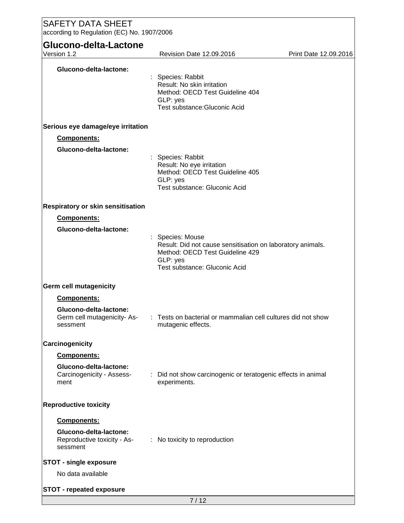| <b>SAFETY DATA SHEET</b><br>according to Regulation (EC) No. 1907/2006 |                                                                                                                                                                |                       |  |  |
|------------------------------------------------------------------------|----------------------------------------------------------------------------------------------------------------------------------------------------------------|-----------------------|--|--|
| Glucono-delta-Lactone<br>Version 1.2                                   | Revision Date 12.09.2016                                                                                                                                       | Print Date 12.09.2016 |  |  |
| Glucono-delta-lactone:                                                 | : Species: Rabbit<br>Result: No skin irritation<br>Method: OECD Test Guideline 404<br>GLP: yes<br>Test substance: Gluconic Acid                                |                       |  |  |
| Serious eye damage/eye irritation                                      |                                                                                                                                                                |                       |  |  |
| Components:                                                            |                                                                                                                                                                |                       |  |  |
| Glucono-delta-lactone:                                                 | Species: Rabbit<br>Result: No eye irritation<br>Method: OECD Test Guideline 405<br>GLP: yes<br>Test substance: Gluconic Acid                                   |                       |  |  |
| Respiratory or skin sensitisation                                      |                                                                                                                                                                |                       |  |  |
| Components:                                                            |                                                                                                                                                                |                       |  |  |
| Glucono-delta-lactone:                                                 | : Species: Mouse<br>Result: Did not cause sensitisation on laboratory animals.<br>Method: OECD Test Guideline 429<br>GLP: yes<br>Test substance: Gluconic Acid |                       |  |  |
| <b>Germ cell mutagenicity</b>                                          |                                                                                                                                                                |                       |  |  |
| <b>Components:</b>                                                     |                                                                                                                                                                |                       |  |  |
| Glucono-delta-lactone:<br>Germ cell mutagenicity-As-<br>sessment       | : Tests on bacterial or mammalian cell cultures did not show<br>mutagenic effects.                                                                             |                       |  |  |
| Carcinogenicity                                                        |                                                                                                                                                                |                       |  |  |
| Components:                                                            |                                                                                                                                                                |                       |  |  |
| Glucono-delta-lactone:<br>Carcinogenicity - Assess-<br>ment            | Did not show carcinogenic or teratogenic effects in animal<br>experiments.                                                                                     |                       |  |  |
| <b>Reproductive toxicity</b>                                           |                                                                                                                                                                |                       |  |  |
| Components:                                                            |                                                                                                                                                                |                       |  |  |
| Glucono-delta-lactone:<br>Reproductive toxicity - As-<br>sessment      | : No toxicity to reproduction                                                                                                                                  |                       |  |  |
| <b>STOT - single exposure</b>                                          |                                                                                                                                                                |                       |  |  |
| No data available                                                      |                                                                                                                                                                |                       |  |  |
| <b>STOT - repeated exposure</b>                                        |                                                                                                                                                                |                       |  |  |
|                                                                        | 7/12                                                                                                                                                           |                       |  |  |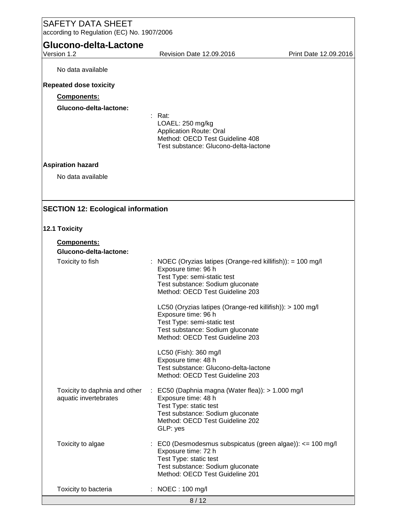| <b>SAFETY DATA SHEET</b><br>according to Regulation (EC) No. 1907/2006 |                                                                                                                                                                                                  |                       |  |
|------------------------------------------------------------------------|--------------------------------------------------------------------------------------------------------------------------------------------------------------------------------------------------|-----------------------|--|
| Glucono-delta-Lactone                                                  |                                                                                                                                                                                                  |                       |  |
| Version 1.2                                                            | Revision Date 12.09.2016                                                                                                                                                                         | Print Date 12.09.2016 |  |
| No data available                                                      |                                                                                                                                                                                                  |                       |  |
| <b>Repeated dose toxicity</b>                                          |                                                                                                                                                                                                  |                       |  |
| <b>Components:</b>                                                     |                                                                                                                                                                                                  |                       |  |
| Glucono-delta-lactone:                                                 |                                                                                                                                                                                                  |                       |  |
|                                                                        | Rat:<br>LOAEL: 250 mg/kg<br><b>Application Route: Oral</b><br>Method: OECD Test Guideline 408<br>Test substance: Glucono-delta-lactone                                                           |                       |  |
| <b>Aspiration hazard</b>                                               |                                                                                                                                                                                                  |                       |  |
| No data available                                                      |                                                                                                                                                                                                  |                       |  |
|                                                                        |                                                                                                                                                                                                  |                       |  |
| <b>SECTION 12: Ecological information</b><br>12.1 Toxicity             |                                                                                                                                                                                                  |                       |  |
|                                                                        |                                                                                                                                                                                                  |                       |  |
| Components:<br>Glucono-delta-lactone:                                  |                                                                                                                                                                                                  |                       |  |
| Toxicity to fish                                                       | : NOEC (Oryzias latipes (Orange-red killifish)): = 100 mg/l<br>Exposure time: 96 h<br>Test Type: semi-static test<br>Test substance: Sodium gluconate<br>Method: OECD Test Guideline 203         |                       |  |
|                                                                        | LC50 (Oryzias latipes (Orange-red killifish)): > 100 mg/l<br>Exposure time: 96 h<br>Test Type: semi-static test<br>Test substance: Sodium gluconate<br>Method: OECD Test Guideline 203           |                       |  |
|                                                                        | LC50 (Fish): 360 mg/l<br>Exposure time: 48 h<br>Test substance: Glucono-delta-lactone<br>Method: OECD Test Guideline 203                                                                         |                       |  |
| Toxicity to daphnia and other<br>aquatic invertebrates                 | $\therefore$ EC50 (Daphnia magna (Water flea)): > 1.000 mg/l<br>Exposure time: 48 h<br>Test Type: static test<br>Test substance: Sodium gluconate<br>Method: OECD Test Guideline 202<br>GLP: yes |                       |  |
| Toxicity to algae                                                      | $\therefore$ EC0 (Desmodesmus subspicatus (green algae)): <= 100 mg/l<br>Exposure time: 72 h<br>Test Type: static test<br>Test substance: Sodium gluconate<br>Method: OECD Test Guideline 201    |                       |  |
| Toxicity to bacteria                                                   | : NOEC: 100 mg/l                                                                                                                                                                                 |                       |  |
|                                                                        | 8/12                                                                                                                                                                                             |                       |  |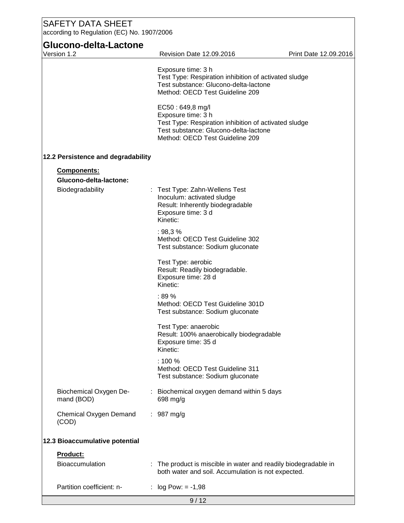| Glucono-delta-Lactone<br>Version 1.2 | Revision Date 12.09.2016                                                                                                                                                    | Print Date 12.09.2016 |
|--------------------------------------|-----------------------------------------------------------------------------------------------------------------------------------------------------------------------------|-----------------------|
|                                      |                                                                                                                                                                             |                       |
|                                      | Exposure time: 3 h<br>Test Type: Respiration inhibition of activated sludge<br>Test substance: Glucono-delta-lactone<br>Method: OECD Test Guideline 209                     |                       |
|                                      | EC50: 649,8 mg/l<br>Exposure time: 3 h<br>Test Type: Respiration inhibition of activated sludge<br>Test substance: Glucono-delta-lactone<br>Method: OECD Test Guideline 209 |                       |
| 12.2 Persistence and degradability   |                                                                                                                                                                             |                       |
| <b>Components:</b>                   |                                                                                                                                                                             |                       |
| Glucono-delta-lactone:               |                                                                                                                                                                             |                       |
| Biodegradability                     | Test Type: Zahn-Wellens Test<br>Inoculum: activated sludge<br>Result: Inherently biodegradable<br>Exposure time: 3 d<br>Kinetic:                                            |                       |
|                                      | : 98,3%<br>Method: OECD Test Guideline 302<br>Test substance: Sodium gluconate                                                                                              |                       |
|                                      | Test Type: aerobic<br>Result: Readily biodegradable.<br>Exposure time: 28 d<br>Kinetic:                                                                                     |                       |
|                                      | :89%<br>Method: OECD Test Guideline 301D<br>Test substance: Sodium gluconate                                                                                                |                       |
|                                      | Test Type: anaerobic<br>Result: 100% anaerobically biodegradable<br>Exposure time: 35 d<br>Kinetic:                                                                         |                       |
|                                      | : 100%<br>Method: OECD Test Guideline 311<br>Test substance: Sodium gluconate                                                                                               |                       |
| Biochemical Oxygen De-<br>mand (BOD) | Biochemical oxygen demand within 5 days<br>698 mg/g                                                                                                                         |                       |
| Chemical Oxygen Demand<br>(COD)      | $: 987 \text{ mg/g}$                                                                                                                                                        |                       |
| 12.3 Bioaccumulative potential       |                                                                                                                                                                             |                       |
| Product:                             |                                                                                                                                                                             |                       |
| <b>Bioaccumulation</b>               | : The product is miscible in water and readily biodegradable in<br>both water and soil. Accumulation is not expected.                                                       |                       |
| Partition coefficient: n-            | $log Pow: = -1,98$<br>÷                                                                                                                                                     |                       |
|                                      | 9/12                                                                                                                                                                        |                       |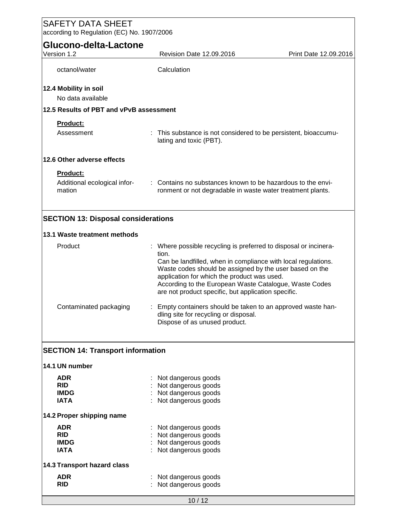| <b>SAFETY DATA SHEET</b><br>according to Regulation (EC) No. 1907/2006 |                                                                                                                                                                                                                                                                                                                                                                       |  |  |  |
|------------------------------------------------------------------------|-----------------------------------------------------------------------------------------------------------------------------------------------------------------------------------------------------------------------------------------------------------------------------------------------------------------------------------------------------------------------|--|--|--|
| Glucono-delta-Lactone                                                  |                                                                                                                                                                                                                                                                                                                                                                       |  |  |  |
| Version 1.2                                                            | Revision Date 12.09.2016<br>Print Date 12.09.2016                                                                                                                                                                                                                                                                                                                     |  |  |  |
| octanol/water                                                          | Calculation                                                                                                                                                                                                                                                                                                                                                           |  |  |  |
| 12.4 Mobility in soil<br>No data available                             |                                                                                                                                                                                                                                                                                                                                                                       |  |  |  |
| 12.5 Results of PBT and vPvB assessment                                |                                                                                                                                                                                                                                                                                                                                                                       |  |  |  |
| Product:                                                               |                                                                                                                                                                                                                                                                                                                                                                       |  |  |  |
| Assessment                                                             | : This substance is not considered to be persistent, bioaccumu-<br>lating and toxic (PBT).                                                                                                                                                                                                                                                                            |  |  |  |
| 12.6 Other adverse effects                                             |                                                                                                                                                                                                                                                                                                                                                                       |  |  |  |
| Product:                                                               |                                                                                                                                                                                                                                                                                                                                                                       |  |  |  |
| Additional ecological infor-<br>mation                                 | : Contains no substances known to be hazardous to the envi-<br>ronment or not degradable in waste water treatment plants.                                                                                                                                                                                                                                             |  |  |  |
| <b>SECTION 13: Disposal considerations</b>                             |                                                                                                                                                                                                                                                                                                                                                                       |  |  |  |
| 13.1 Waste treatment methods                                           |                                                                                                                                                                                                                                                                                                                                                                       |  |  |  |
| Product                                                                | : Where possible recycling is preferred to disposal or incinera-<br>tion.<br>Can be landfilled, when in compliance with local regulations.<br>Waste codes should be assigned by the user based on the<br>application for which the product was used.<br>According to the European Waste Catalogue, Waste Codes<br>are not product specific, but application specific. |  |  |  |
| Contaminated packaging                                                 | Empty containers should be taken to an approved waste han-<br>dling site for recycling or disposal.<br>Dispose of as unused product.                                                                                                                                                                                                                                  |  |  |  |
| <b>SECTION 14: Transport information</b>                               |                                                                                                                                                                                                                                                                                                                                                                       |  |  |  |
| 14.1 UN number                                                         |                                                                                                                                                                                                                                                                                                                                                                       |  |  |  |
| <b>ADR</b>                                                             | Not dangerous goods                                                                                                                                                                                                                                                                                                                                                   |  |  |  |
| <b>RID</b>                                                             | Not dangerous goods                                                                                                                                                                                                                                                                                                                                                   |  |  |  |
| <b>IMDG</b><br><b>IATA</b>                                             | Not dangerous goods<br>Not dangerous goods                                                                                                                                                                                                                                                                                                                            |  |  |  |
| 14.2 Proper shipping name                                              |                                                                                                                                                                                                                                                                                                                                                                       |  |  |  |
| <b>ADR</b>                                                             | Not dangerous goods                                                                                                                                                                                                                                                                                                                                                   |  |  |  |
| <b>RID</b>                                                             | Not dangerous goods                                                                                                                                                                                                                                                                                                                                                   |  |  |  |
| <b>IMDG</b>                                                            | Not dangerous goods                                                                                                                                                                                                                                                                                                                                                   |  |  |  |
| <b>IATA</b>                                                            | Not dangerous goods                                                                                                                                                                                                                                                                                                                                                   |  |  |  |
| 14.3 Transport hazard class                                            |                                                                                                                                                                                                                                                                                                                                                                       |  |  |  |
| <b>ADR</b><br><b>RID</b>                                               | Not dangerous goods<br>Not dangerous goods                                                                                                                                                                                                                                                                                                                            |  |  |  |
|                                                                        | 10/12                                                                                                                                                                                                                                                                                                                                                                 |  |  |  |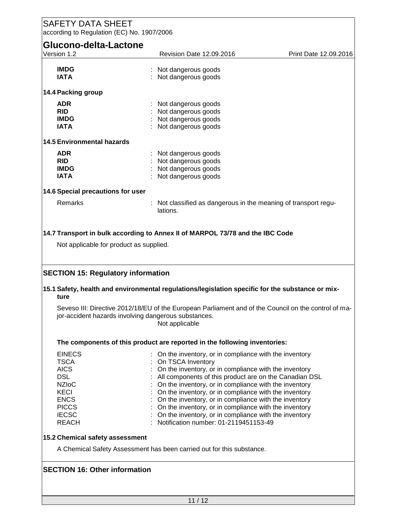| <b>SAFETY DATA SHEET</b><br>according to Regulation (EC) No. 1907/2006 |                                                                                                                                                                                |                       |  |  |
|------------------------------------------------------------------------|--------------------------------------------------------------------------------------------------------------------------------------------------------------------------------|-----------------------|--|--|
| Glucono-delta-Lactone                                                  |                                                                                                                                                                                |                       |  |  |
|                                                                        |                                                                                                                                                                                |                       |  |  |
| Version 1.2                                                            | Revision Date 12.09.2016                                                                                                                                                       | Print Date 12.09.2016 |  |  |
|                                                                        |                                                                                                                                                                                |                       |  |  |
| <b>IMDG</b>                                                            | Not dangerous goods                                                                                                                                                            |                       |  |  |
| <b>IATA</b>                                                            | Not dangerous goods                                                                                                                                                            |                       |  |  |
|                                                                        |                                                                                                                                                                                |                       |  |  |
| 14.4 Packing group                                                     |                                                                                                                                                                                |                       |  |  |
|                                                                        |                                                                                                                                                                                |                       |  |  |
| <b>ADR</b>                                                             | Not dangerous goods                                                                                                                                                            |                       |  |  |
| <b>RID</b>                                                             | Not dangerous goods                                                                                                                                                            |                       |  |  |
| <b>IMDG</b>                                                            | Not dangerous goods                                                                                                                                                            |                       |  |  |
| <b>IATA</b>                                                            | Not dangerous goods                                                                                                                                                            |                       |  |  |
|                                                                        |                                                                                                                                                                                |                       |  |  |
| <b>14.5 Environmental hazards</b>                                      |                                                                                                                                                                                |                       |  |  |
| <b>ADR</b>                                                             | Not dangerous goods                                                                                                                                                            |                       |  |  |
| <b>RID</b>                                                             | Not dangerous goods                                                                                                                                                            |                       |  |  |
|                                                                        |                                                                                                                                                                                |                       |  |  |
| <b>IMDG</b>                                                            | Not dangerous goods                                                                                                                                                            |                       |  |  |
| <b>IATA</b>                                                            | Not dangerous goods                                                                                                                                                            |                       |  |  |
|                                                                        |                                                                                                                                                                                |                       |  |  |
| 14.6 Special precautions for user                                      |                                                                                                                                                                                |                       |  |  |
| Remarks                                                                | Not classified as dangerous in the meaning of transport regu-                                                                                                                  |                       |  |  |
|                                                                        | lations.                                                                                                                                                                       |                       |  |  |
|                                                                        |                                                                                                                                                                                |                       |  |  |
| <b>SECTION 15: Regulatory information</b>                              |                                                                                                                                                                                |                       |  |  |
| ture                                                                   | 15.1 Safety, health and environmental regulations/legislation specific for the substance or mix-                                                                               |                       |  |  |
|                                                                        | Seveso III: Directive 2012/18/EU of the European Parliament and of the Council on the control of ma-<br>jor-accident hazards involving dangerous substances.<br>Not applicable |                       |  |  |
|                                                                        | The components of this product are reported in the following inventories:                                                                                                      |                       |  |  |
| <b>EINECS</b>                                                          | On the inventory, or in compliance with the inventory                                                                                                                          |                       |  |  |
| <b>TSCA</b>                                                            | On TSCA Inventory                                                                                                                                                              |                       |  |  |
| <b>AICS</b>                                                            | On the inventory, or in compliance with the inventory                                                                                                                          |                       |  |  |
| <b>DSL</b>                                                             |                                                                                                                                                                                |                       |  |  |
|                                                                        | All components of this product are on the Canadian DSL                                                                                                                         |                       |  |  |
| <b>NZIoC</b>                                                           | On the inventory, or in compliance with the inventory                                                                                                                          |                       |  |  |
| KECI                                                                   | On the inventory, or in compliance with the inventory                                                                                                                          |                       |  |  |
| <b>ENCS</b>                                                            | On the inventory, or in compliance with the inventory                                                                                                                          |                       |  |  |
| <b>PICCS</b>                                                           | On the inventory, or in compliance with the inventory                                                                                                                          |                       |  |  |
| <b>IECSC</b>                                                           | On the inventory, or in compliance with the inventory                                                                                                                          |                       |  |  |
| <b>REACH</b>                                                           | Notification number: 01-2119451153-49                                                                                                                                          |                       |  |  |
|                                                                        |                                                                                                                                                                                |                       |  |  |
| 15.2 Chemical safety assessment                                        |                                                                                                                                                                                |                       |  |  |
|                                                                        | A Chemical Safety Assessment has been carried out for this substance.                                                                                                          |                       |  |  |
| <b>SECTION 16: Other information</b>                                   |                                                                                                                                                                                |                       |  |  |
|                                                                        |                                                                                                                                                                                |                       |  |  |
|                                                                        | 11/12                                                                                                                                                                          |                       |  |  |